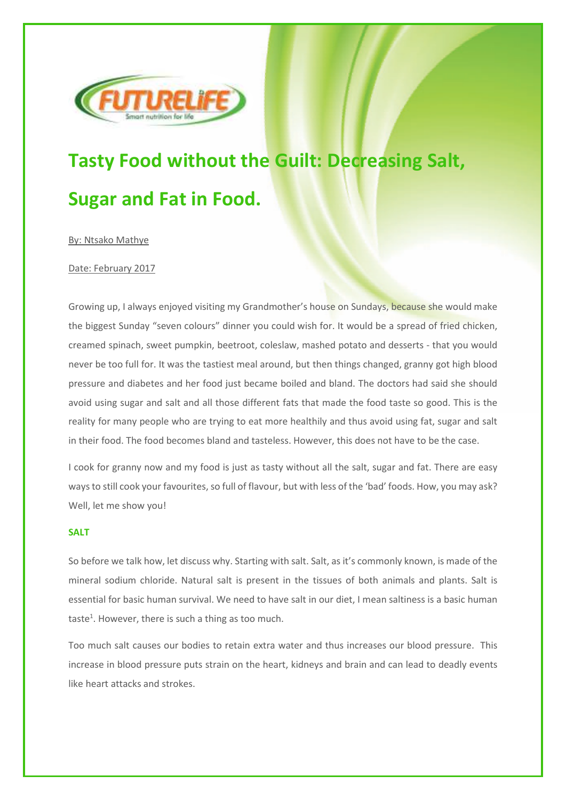

# **Tasty Food without the Guilt: Decreasing Salt, Sugar and Fat in Food.**

By: Ntsako Mathye

# Date: February 2017

Growing up, I always enjoyed visiting my Grandmother's house on Sundays, because she would make the biggest Sunday "seven colours" dinner you could wish for. It would be a spread of fried chicken, creamed spinach, sweet pumpkin, beetroot, coleslaw, mashed potato and desserts - that you would never be too full for. It was the tastiest meal around, but then things changed, granny got high blood pressure and diabetes and her food just became boiled and bland. The doctors had said she should avoid using sugar and salt and all those different fats that made the food taste so good. This is the reality for many people who are trying to eat more healthily and thus avoid using fat, sugar and salt in their food. The food becomes bland and tasteless. However, this does not have to be the case.

I cook for granny now and my food is just as tasty without all the salt, sugar and fat. There are easy ways to still cook your favourites, so full of flavour, but with less of the 'bad' foods. How, you may ask? Well, let me show you!

#### **SALT**

So before we talk how, let discuss why. Starting with salt. Salt, as it's commonly known, is made of the mineral sodium chloride. Natural salt is present in the tissues of both animals and plants. Salt is essential for basic human survival. We need to have salt in our diet, I mean saltiness is a basic human taste<sup>1</sup>. However, there is such a thing as too much.

Too much salt causes our bodies to retain extra water and thus increases our blood pressure. This increase in blood pressure puts strain on the heart, kidneys and brain and can lead to deadly events like heart attacks and strokes.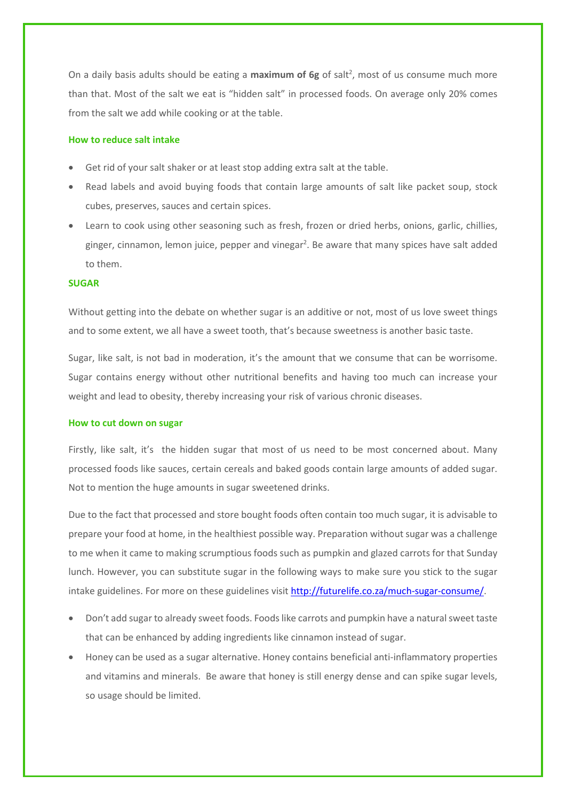On a daily basis adults should be eating a maximum of 6g of salt<sup>2</sup>, most of us consume much more than that. Most of the salt we eat is "hidden salt" in processed foods. On average only 20% comes from the salt we add while cooking or at the table.

# **How to reduce salt intake**

- Get rid of your salt shaker or at least stop adding extra salt at the table.
- Read labels and avoid buying foods that contain large amounts of salt like packet soup, stock cubes, preserves, sauces and certain spices.
- Learn to cook using other seasoning such as fresh, frozen or dried herbs, onions, garlic, chillies, ginger, cinnamon, lemon juice, pepper and vinegar<sup>2</sup>. Be aware that many spices have salt added to them.

## **SUGAR**

Without getting into the debate on whether sugar is an additive or not, most of us love sweet things and to some extent, we all have a sweet tooth, that's because sweetness is another basic taste.

Sugar, like salt, is not bad in moderation, it's the amount that we consume that can be worrisome. Sugar contains energy without other nutritional benefits and having too much can increase your weight and lead to obesity, thereby increasing your risk of various chronic diseases.

#### **How to cut down on sugar**

Firstly, like salt, it's the hidden sugar that most of us need to be most concerned about. Many processed foods like sauces, certain cereals and baked goods contain large amounts of added sugar. Not to mention the huge amounts in sugar sweetened drinks.

Due to the fact that processed and store bought foods often contain too much sugar, it is advisable to prepare your food at home, in the healthiest possible way. Preparation without sugar was a challenge to me when it came to making scrumptious foods such as pumpkin and glazed carrots for that Sunday lunch. However, you can substitute sugar in the following ways to make sure you stick to the sugar intake guidelines. For more on these guidelines visit http://futurelife.co.za/much-sugar-consume/.

- Don't add sugar to already sweet foods. Foods like carrots and pumpkin have a natural sweet taste that can be enhanced by adding ingredients like cinnamon instead of sugar.
- Honey can be used as a sugar alternative. Honey contains beneficial anti-inflammatory properties and vitamins and minerals. Be aware that honey is still energy dense and can spike sugar levels, so usage should be limited.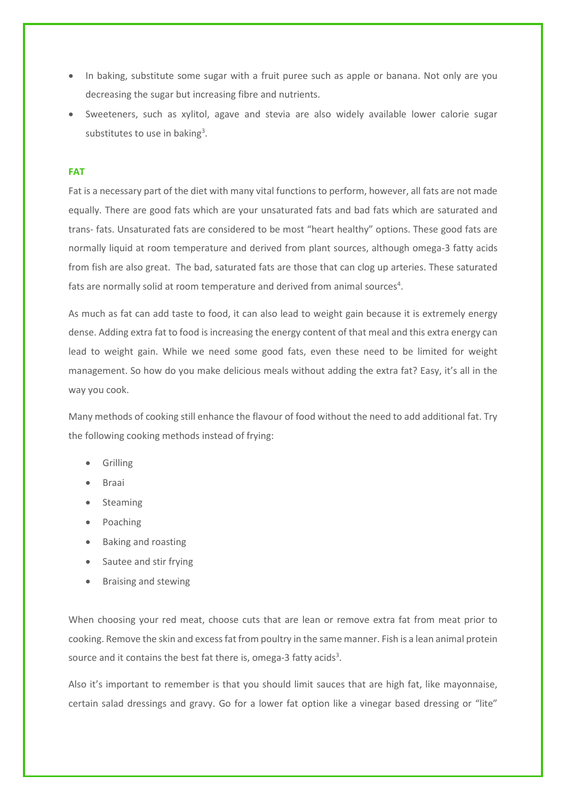- In baking, substitute some sugar with a fruit puree such as apple or banana. Not only are you decreasing the sugar but increasing fibre and nutrients.
- Sweeteners, such as xylitol, agave and stevia are also widely available lower calorie sugar substitutes to use in baking<sup>3</sup>.

## **FAT**

Fat is a necessary part of the diet with many vital functions to perform, however, all fats are not made equally. There are good fats which are your unsaturated fats and bad fats which are saturated and trans- fats. Unsaturated fats are considered to be most "heart healthy" options. These good fats are normally liquid at room temperature and derived from plant sources, although omega-3 fatty acids from fish are also great. The bad, saturated fats are those that can clog up arteries. These saturated fats are normally solid at room temperature and derived from animal sources<sup>4</sup>.

As much as fat can add taste to food, it can also lead to weight gain because it is extremely energy dense. Adding extra fat to food is increasing the energy content of that meal and this extra energy can lead to weight gain. While we need some good fats, even these need to be limited for weight management. So how do you make delicious meals without adding the extra fat? Easy, it's all in the way you cook.

Many methods of cooking still enhance the flavour of food without the need to add additional fat. Try the following cooking methods instead of frying:

- Grilling
- Braai
- Steaming
- Poaching
- Baking and roasting
- Sautee and stir frying
- Braising and stewing

When choosing your red meat, choose cuts that are lean or remove extra fat from meat prior to cooking. Remove the skin and excess fat from poultry in the same manner. Fish is a lean animal protein source and it contains the best fat there is, omega-3 fatty acids<sup>3</sup>.

Also it's important to remember is that you should limit sauces that are high fat, like mayonnaise, certain salad dressings and gravy. Go for a lower fat option like a vinegar based dressing or "lite"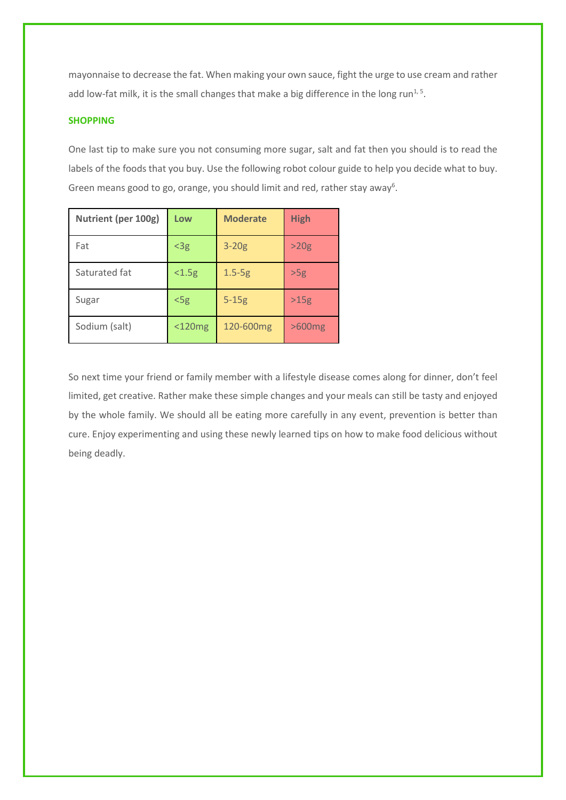mayonnaise to decrease the fat. When making your own sauce, fight the urge to use cream and rather add low-fat milk, it is the small changes that make a big difference in the long run<sup>1,5</sup>.

# **SHOPPING**

One last tip to make sure you not consuming more sugar, salt and fat then you should is to read the labels of the foods that you buy. Use the following robot colour guide to help you decide what to buy. Green means good to go, orange, you should limit and red, rather stay away<sup>6</sup>.

| Nutrient (per 100g) | Low          | <b>Moderate</b> | <b>High</b> |
|---------------------|--------------|-----------------|-------------|
| Fat                 | $<$ 3g       | $3-20g$         | >20g        |
| Saturated fat       | < 1.5g       | $1.5-5g$        | >5g         |
| Sugar               | $<$ 5 $g$    | $5-15g$         | >15g        |
| Sodium (salt)       | $<$ 120 $mg$ | 120-600mg       | $>600$ mg   |

So next time your friend or family member with a lifestyle disease comes along for dinner, don't feel limited, get creative. Rather make these simple changes and your meals can still be tasty and enjoyed by the whole family. We should all be eating more carefully in any event, prevention is better than cure. Enjoy experimenting and using these newly learned tips on how to make food delicious without being deadly.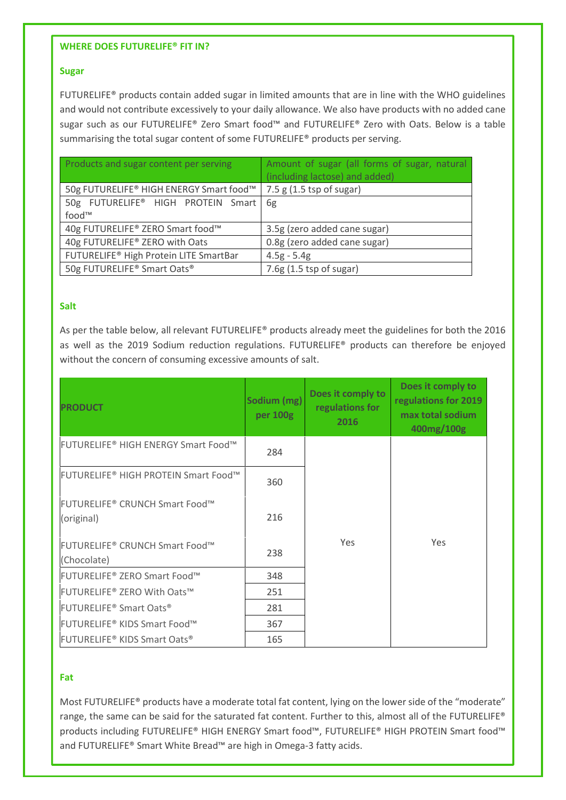## **WHERE DOES FUTURELIFE® FIT IN?**

## **Sugar**

FUTURELIFE® products contain added sugar in limited amounts that are in line with the WHO guidelines and would not contribute excessively to your daily allowance. We also have products with no added cane sugar such as our FUTURELIFE® Zero Smart food™ and FUTURELIFE® Zero with Oats. Below is a table summarising the total sugar content of some FUTURELIFE® products per serving.

| Products and sugar content per serving  | Amount of sugar (all forms of sugar, natural |  |  |
|-----------------------------------------|----------------------------------------------|--|--|
|                                         | (including lactose) and added)               |  |  |
| 50g FUTURELIFE® HIGH ENERGY Smart food™ | 7.5 g(1.5 tsp of sugar)                      |  |  |
| 50g FUTURELIFE® HIGH PROTEIN Smart      | 6g                                           |  |  |
| food™                                   |                                              |  |  |
| 40g FUTURELIFE® ZERO Smart food™        | 3.5g (zero added cane sugar)                 |  |  |
| 40g FUTURELIFE® ZERO with Oats          | 0.8g (zero added cane sugar)                 |  |  |
| FUTURELIFE® High Protein LITE SmartBar  | $4.5g - 5.4g$                                |  |  |
| 50g FUTURELIFE® Smart Oats®             | 7.6g (1.5 tsp of sugar)                      |  |  |

# **Salt**

As per the table below, all relevant FUTURELIFE® products already meet the guidelines for both the 2016 as well as the 2019 Sodium reduction regulations. FUTURELIFE® products can therefore be enjoyed without the concern of consuming excessive amounts of salt.

| <b>PRODUCT</b>                                                  | Sodium (mg)<br>per 100g | Does it comply to<br>regulations for<br>2016 | Does it comply to<br>regulations for 2019<br>max total sodium<br>400mg/100g |
|-----------------------------------------------------------------|-------------------------|----------------------------------------------|-----------------------------------------------------------------------------|
| <b>FUTURELIFE<sup>®</sup> HIGH ENERGY Smart Food™</b>           | 284                     |                                              |                                                                             |
| <b>FUTURELIFE<sup>®</sup> HIGH PROTEIN Smart Food™</b>          | 360                     |                                              |                                                                             |
| FUTURELIFE® CRUNCH Smart Food™<br>(original)                    | 216                     |                                              |                                                                             |
| <b>FUTURELIFE<sup>®</sup> CRUNCH Smart Food™</b><br>(Chocolate) | 238                     | <b>Yes</b>                                   | Yes                                                                         |
| FUTURELIFE® ZERO Smart Food™                                    | 348                     |                                              |                                                                             |
| FUTURELIFE® ZERO With Oats™                                     | 251                     |                                              |                                                                             |
| <b>FUTURELIFE<sup>®</sup> Smart Oats<sup>®</sup></b>            | 281                     |                                              |                                                                             |
| <b>FUTURELIFE<sup>®</sup> KIDS Smart Food™</b>                  | 367                     |                                              |                                                                             |
| FUTURELIFE <sup>®</sup> KIDS Smart Oats <sup>®</sup>            | 165                     |                                              |                                                                             |

# **Fat**

Most FUTURELIFE® products have a moderate total fat content, lying on the lower side of the "moderate" range, the same can be said for the saturated fat content. Further to this, almost all of the FUTURELIFE® products including FUTURELIFE® HIGH ENERGY Smart food™, FUTURELIFE® HIGH PROTEIN Smart food™ and FUTURELIFE® Smart White Bread™ are high in Omega-3 fatty acids.